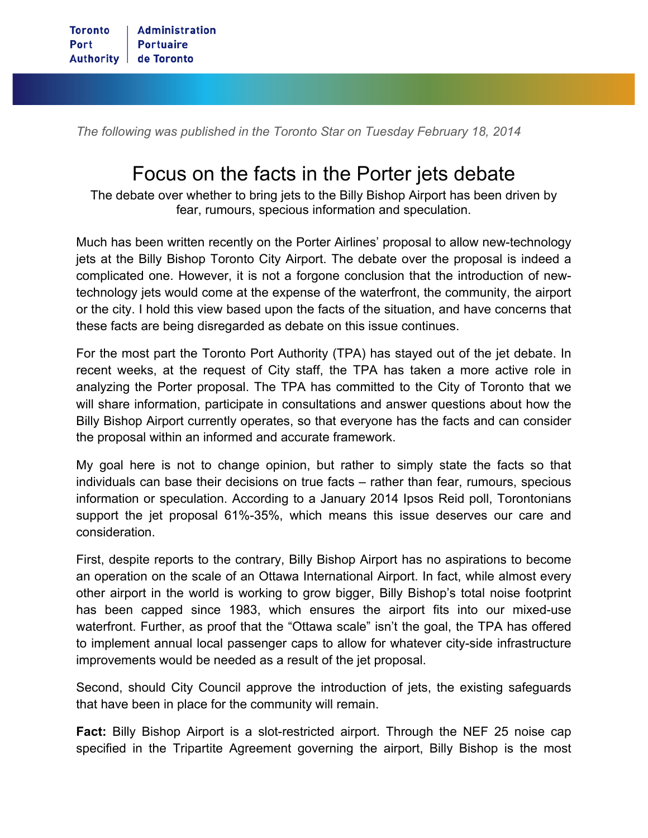*The following was published in the Toronto Star on Tuesday February 18, 2014*

## Focus on the facts in the Porter jets debate

The debate over whether to bring jets to the Billy Bishop Airport has been driven by fear, rumours, specious information and speculation.

Much has been written recently on the Porter Airlines' proposal to allow new-technology jets at the Billy Bishop Toronto City Airport. The debate over the proposal is indeed a complicated one. However, it is not a forgone conclusion that the introduction of newtechnology jets would come at the expense of the waterfront, the community, the airport or the city. I hold this view based upon the facts of the situation, and have concerns that these facts are being disregarded as debate on this issue continues.

For the most part the Toronto Port Authority (TPA) has stayed out of the jet debate. In recent weeks, at the request of City staff, the TPA has taken a more active role in analyzing the Porter proposal. The TPA has committed to the City of Toronto that we will share information, participate in consultations and answer questions about how the Billy Bishop Airport currently operates, so that everyone has the facts and can consider the proposal within an informed and accurate framework.

My goal here is not to change opinion, but rather to simply state the facts so that individuals can base their decisions on true facts – rather than fear, rumours, specious information or speculation. According to a January 2014 Ipsos Reid poll, Torontonians support the jet proposal 61%-35%, which means this issue deserves our care and consideration.

First, despite reports to the contrary, Billy Bishop Airport has no aspirations to become an operation on the scale of an Ottawa International Airport. In fact, while almost every other airport in the world is working to grow bigger, Billy Bishop's total noise footprint has been capped since 1983, which ensures the airport fits into our mixed-use waterfront. Further, as proof that the "Ottawa scale" isn't the goal, the TPA has offered to implement annual local passenger caps to allow for whatever city-side infrastructure improvements would be needed as a result of the jet proposal.

Second, should City Council approve the introduction of jets, the existing safeguards that have been in place for the community will remain.

**Fact:** Billy Bishop Airport is a slot-restricted airport. Through the NEF 25 noise cap specified in the Tripartite Agreement governing the airport, Billy Bishop is the most